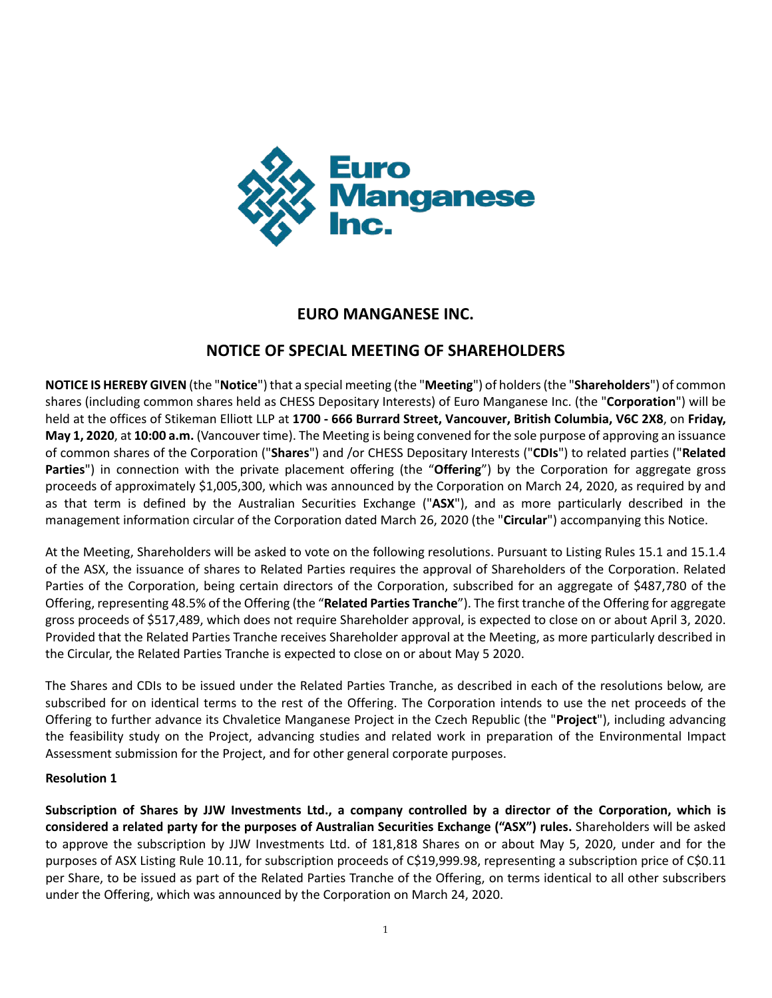

# **EURO MANGANESE INC.**

# **NOTICE OF SPECIAL MEETING OF SHAREHOLDERS**

**NOTICE IS HEREBY GIVEN** (the "**Notice**") that a special meeting (the "**Meeting**") of holders (the "**Shareholders**") of common shares (including common shares held as CHESS Depositary Interests) of Euro Manganese Inc. (the "**Corporation**") will be held at the offices of Stikeman Elliott LLP at **1700 - 666 Burrard Street, Vancouver, British Columbia, V6C 2X8**, on **Friday, May 1, 2020**, at **10:00 a.m.** (Vancouver time). The Meeting is being convened for the sole purpose of approving an issuance of common shares of the Corporation ("**Shares**") and /or CHESS Depositary Interests ("**CDIs**") to related parties ("**Related Parties**") in connection with the private placement offering (the "**Offering**") by the Corporation for aggregate gross proceeds of approximately \$1,005,300, which was announced by the Corporation on March 24, 2020, as required by and as that term is defined by the Australian Securities Exchange ("**ASX**"), and as more particularly described in the management information circular of the Corporation dated March 26, 2020 (the "**Circular**") accompanying this Notice.

At the Meeting, Shareholders will be asked to vote on the following resolutions. Pursuant to Listing Rules 15.1 and 15.1.4 of the ASX, the issuance of shares to Related Parties requires the approval of Shareholders of the Corporation. Related Parties of the Corporation, being certain directors of the Corporation, subscribed for an aggregate of \$487,780 of the Offering, representing 48.5% of the Offering (the "**Related Parties Tranche**"). The first tranche of the Offering for aggregate gross proceeds of \$517,489, which does not require Shareholder approval, is expected to close on or about April 3, 2020. Provided that the Related Parties Tranche receives Shareholder approval at the Meeting, as more particularly described in the Circular, the Related Parties Tranche is expected to close on or about May 5 2020.

The Shares and CDIs to be issued under the Related Parties Tranche, as described in each of the resolutions below, are subscribed for on identical terms to the rest of the Offering. The Corporation intends to use the net proceeds of the Offering to further advance its Chvaletice Manganese Project in the Czech Republic (the "**Project**"), including advancing the feasibility study on the Project, advancing studies and related work in preparation of the Environmental Impact Assessment submission for the Project, and for other general corporate purposes.

# **Resolution 1**

**Subscription of Shares by JJW Investments Ltd., a company controlled by a director of the Corporation, which is considered a related party for the purposes of Australian Securities Exchange ("ASX") rules.** Shareholders will be asked to approve the subscription by JJW Investments Ltd. of 181,818 Shares on or about May 5, 2020, under and for the purposes of ASX Listing Rule 10.11, for subscription proceeds of C\$19,999.98, representing a subscription price of C\$0.11 per Share, to be issued as part of the Related Parties Tranche of the Offering, on terms identical to all other subscribers under the Offering, which was announced by the Corporation on March 24, 2020.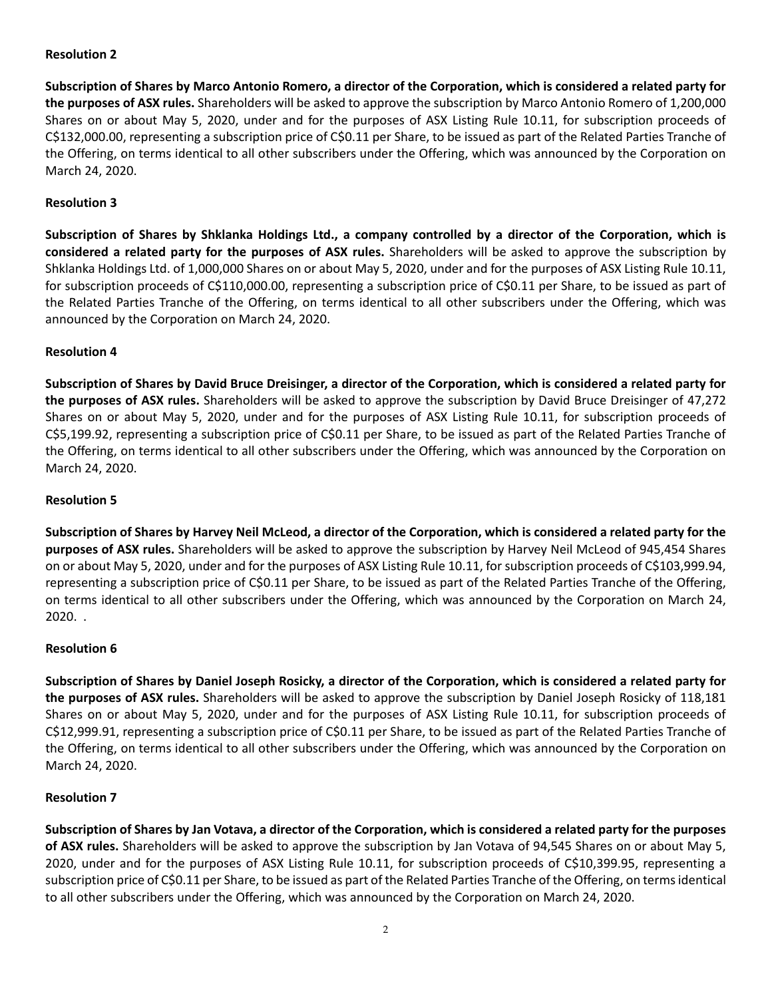# **Resolution 2**

**Subscription of Shares by Marco Antonio Romero, a director of the Corporation, which is considered a related party for the purposes of ASX rules.** Shareholders will be asked to approve the subscription by Marco Antonio Romero of 1,200,000 Shares on or about May 5, 2020, under and for the purposes of ASX Listing Rule 10.11, for subscription proceeds of C\$132,000.00, representing a subscription price of C\$0.11 per Share, to be issued as part of the Related Parties Tranche of the Offering, on terms identical to all other subscribers under the Offering, which was announced by the Corporation on March 24, 2020.

# **Resolution 3**

**Subscription of Shares by Shklanka Holdings Ltd., a company controlled by a director of the Corporation, which is considered a related party for the purposes of ASX rules.** Shareholders will be asked to approve the subscription by Shklanka Holdings Ltd. of 1,000,000 Shares on or about May 5, 2020, under and for the purposes of ASX Listing Rule 10.11, for subscription proceeds of C\$110,000.00, representing a subscription price of C\$0.11 per Share, to be issued as part of the Related Parties Tranche of the Offering, on terms identical to all other subscribers under the Offering, which was announced by the Corporation on March 24, 2020.

# **Resolution 4**

**Subscription of Shares by David Bruce Dreisinger, a director of the Corporation, which is considered a related party for the purposes of ASX rules.** Shareholders will be asked to approve the subscription by David Bruce Dreisinger of 47,272 Shares on or about May 5, 2020, under and for the purposes of ASX Listing Rule 10.11, for subscription proceeds of C\$5,199.92, representing a subscription price of C\$0.11 per Share, to be issued as part of the Related Parties Tranche of the Offering, on terms identical to all other subscribers under the Offering, which was announced by the Corporation on March 24, 2020.

# **Resolution 5**

**Subscription of Shares by Harvey Neil McLeod, a director of the Corporation, which is considered a related party for the purposes of ASX rules.** Shareholders will be asked to approve the subscription by Harvey Neil McLeod of 945,454 Shares on or about May 5, 2020, under and for the purposes of ASX Listing Rule 10.11, for subscription proceeds of C\$103,999.94, representing a subscription price of C\$0.11 per Share, to be issued as part of the Related Parties Tranche of the Offering, on terms identical to all other subscribers under the Offering, which was announced by the Corporation on March 24, 2020. .

# **Resolution 6**

**Subscription of Shares by Daniel Joseph Rosicky, a director of the Corporation, which is considered a related party for the purposes of ASX rules.** Shareholders will be asked to approve the subscription by Daniel Joseph Rosicky of 118,181 Shares on or about May 5, 2020, under and for the purposes of ASX Listing Rule 10.11, for subscription proceeds of C\$12,999.91, representing a subscription price of C\$0.11 per Share, to be issued as part of the Related Parties Tranche of the Offering, on terms identical to all other subscribers under the Offering, which was announced by the Corporation on March 24, 2020.

# **Resolution 7**

**Subscription of Shares by Jan Votava, a director of the Corporation, which is considered a related party for the purposes of ASX rules.** Shareholders will be asked to approve the subscription by Jan Votava of 94,545 Shares on or about May 5, 2020, under and for the purposes of ASX Listing Rule 10.11, for subscription proceeds of C\$10,399.95, representing a subscription price of C\$0.11 per Share, to be issued as part of the Related Parties Tranche of the Offering, on terms identical to all other subscribers under the Offering, which was announced by the Corporation on March 24, 2020.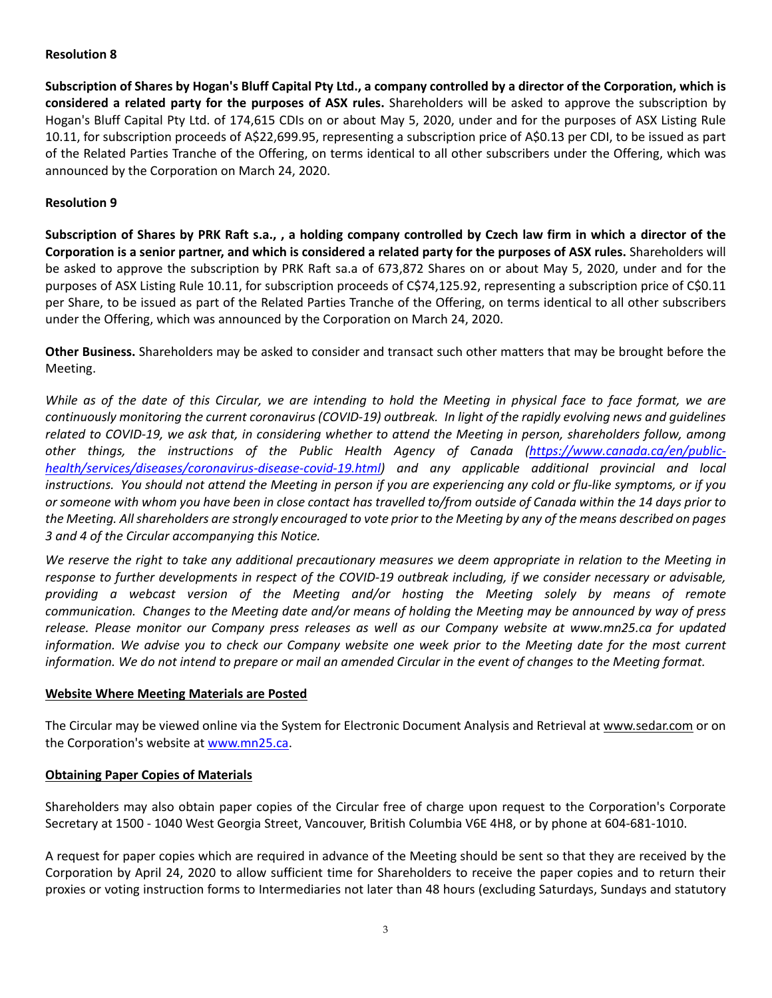# **Resolution 8**

**Subscription of Shares by Hogan's Bluff Capital Pty Ltd., a company controlled by a director of the Corporation, which is considered a related party for the purposes of ASX rules.** Shareholders will be asked to approve the subscription by Hogan's Bluff Capital Pty Ltd. of 174,615 CDIs on or about May 5, 2020, under and for the purposes of ASX Listing Rule 10.11, for subscription proceeds of A\$22,699.95, representing a subscription price of A\$0.13 per CDI, to be issued as part of the Related Parties Tranche of the Offering, on terms identical to all other subscribers under the Offering, which was announced by the Corporation on March 24, 2020.

# **Resolution 9**

**Subscription of Shares by PRK Raft s.a., , a holding company controlled by Czech law firm in which a director of the Corporation is a senior partner, and which is considered a related party for the purposes of ASX rules.** Shareholders will be asked to approve the subscription by PRK Raft sa.a of 673,872 Shares on or about May 5, 2020, under and for the purposes of ASX Listing Rule 10.11, for subscription proceeds of C\$74,125.92, representing a subscription price of C\$0.11 per Share, to be issued as part of the Related Parties Tranche of the Offering, on terms identical to all other subscribers under the Offering, which was announced by the Corporation on March 24, 2020.

**Other Business.** Shareholders may be asked to consider and transact such other matters that may be brought before the Meeting.

*While as of the date of this Circular, we are intending to hold the Meeting in physical face to face format, we are continuously monitoring the current coronavirus (COVID-19) outbreak. In light of the rapidly evolving news and guidelines related to COVID-19, we ask that, in considering whether to attend the Meeting in person, shareholders follow, among other things, the instructions of the Public Health Agency of Canada [\(https://www.canada.ca/en/public](https://can01.safelinks.protection.outlook.com/?url=https%3A%2F%2Fwww.canada.ca%2Fen%2Fpublic-health%2Fservices%2Fdiseases%2Fcoronavirus-disease-covid-19.html&data=02%7C01%7CVGerchikov%40stikeman.com%7C4695df996ac446678b2208d7cab5c590%7C394646dfa1184f83a4f46a20e463e3a8%7C1%7C0%7C637200755388985341&sdata=XHuK1%2FFYfvSdDEu9wIGa%2FxRXm0MRkPT5MV5EghLODaU%3D&reserved=0)[health/services/diseases/coronavirus-disease-covid-19.html\)](https://can01.safelinks.protection.outlook.com/?url=https%3A%2F%2Fwww.canada.ca%2Fen%2Fpublic-health%2Fservices%2Fdiseases%2Fcoronavirus-disease-covid-19.html&data=02%7C01%7CVGerchikov%40stikeman.com%7C4695df996ac446678b2208d7cab5c590%7C394646dfa1184f83a4f46a20e463e3a8%7C1%7C0%7C637200755388985341&sdata=XHuK1%2FFYfvSdDEu9wIGa%2FxRXm0MRkPT5MV5EghLODaU%3D&reserved=0) and any applicable additional provincial and local instructions. You should not attend the Meeting in person if you are experiencing any cold or flu-like symptoms, or if you or someone with whom you have been in close contact has travelled to/from outside of Canada within the 14 days prior to the Meeting. All shareholders are strongly encouraged to vote prior to the Meeting by any of the means described on pages 3 and 4 of the Circular accompanying this Notice.*

*We reserve the right to take any additional precautionary measures we deem appropriate in relation to the Meeting in response to further developments in respect of the COVID-19 outbreak including, if we consider necessary or advisable, providing a webcast version of the Meeting and/or hosting the Meeting solely by means of remote communication. Changes to the Meeting date and/or means of holding the Meeting may be announced by way of press release. Please monitor our Company press releases as well as our Company website at www.mn25.ca for updated information. We advise you to check our Company website one week prior to the Meeting date for the most current information. We do not intend to prepare or mail an amended Circular in the event of changes to the Meeting format.*

# **Website Where Meeting Materials are Posted**

The Circular may be viewed online via the System for Electronic Document Analysis and Retrieval at www.sedar.com or on the Corporation's website at [www.mn25.ca.](http://www.mn25.ca/)

# **Obtaining Paper Copies of Materials**

Shareholders may also obtain paper copies of the Circular free of charge upon request to the Corporation's Corporate Secretary at 1500 - 1040 West Georgia Street, Vancouver, British Columbia V6E 4H8, or by phone at 604-681-1010.

A request for paper copies which are required in advance of the Meeting should be sent so that they are received by the Corporation by April 24, 2020 to allow sufficient time for Shareholders to receive the paper copies and to return their proxies or voting instruction forms to Intermediaries not later than 48 hours (excluding Saturdays, Sundays and statutory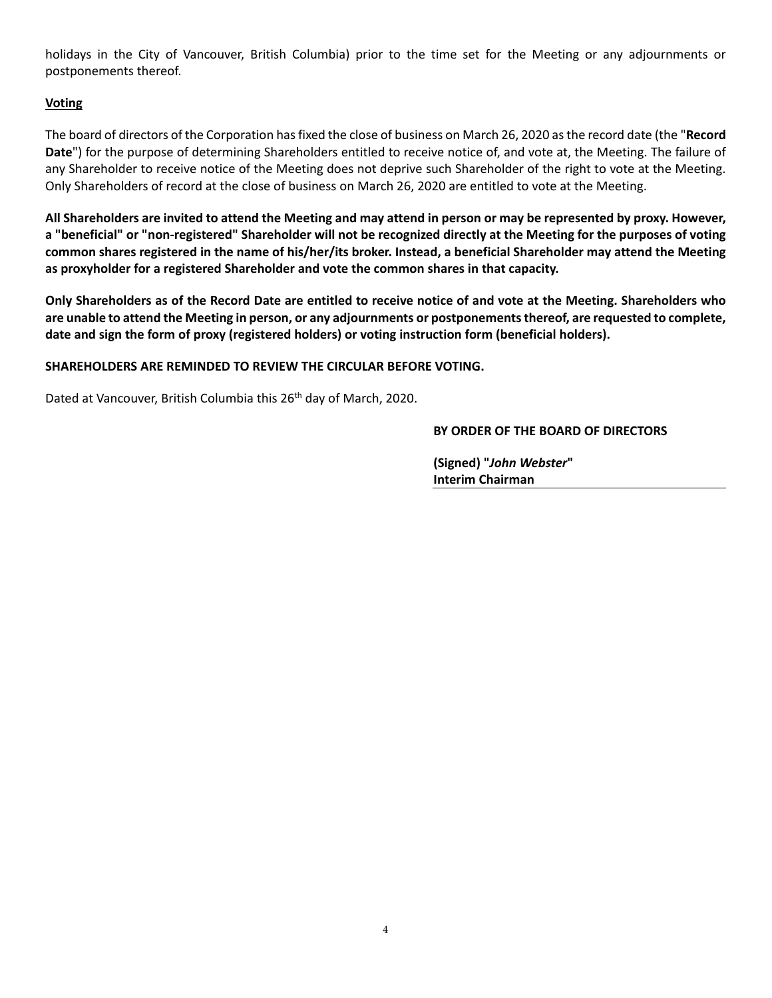holidays in the City of Vancouver, British Columbia) prior to the time set for the Meeting or any adjournments or postponements thereof.

# **Voting**

The board of directors of the Corporation has fixed the close of business on March 26, 2020 as the record date (the "**Record Date**") for the purpose of determining Shareholders entitled to receive notice of, and vote at, the Meeting. The failure of any Shareholder to receive notice of the Meeting does not deprive such Shareholder of the right to vote at the Meeting. Only Shareholders of record at the close of business on March 26, 2020 are entitled to vote at the Meeting.

**All Shareholders are invited to attend the Meeting and may attend in person or may be represented by proxy. However, a "beneficial" or "non-registered" Shareholder will not be recognized directly at the Meeting for the purposes of voting common shares registered in the name of his/her/its broker. Instead, a beneficial Shareholder may attend the Meeting as proxyholder for a registered Shareholder and vote the common shares in that capacity.** 

**Only Shareholders as of the Record Date are entitled to receive notice of and vote at the Meeting. Shareholders who are unable to attend the Meeting in person, or any adjournments or postponements thereof, are requested to complete, date and sign the form of proxy (registered holders) or voting instruction form (beneficial holders).**

# **SHAREHOLDERS ARE REMINDED TO REVIEW THE CIRCULAR BEFORE VOTING.**

Dated at Vancouver, British Columbia this 26<sup>th</sup> day of March, 2020.

# **BY ORDER OF THE BOARD OF DIRECTORS**

**(Signed) "***John Webster***" Interim Chairman**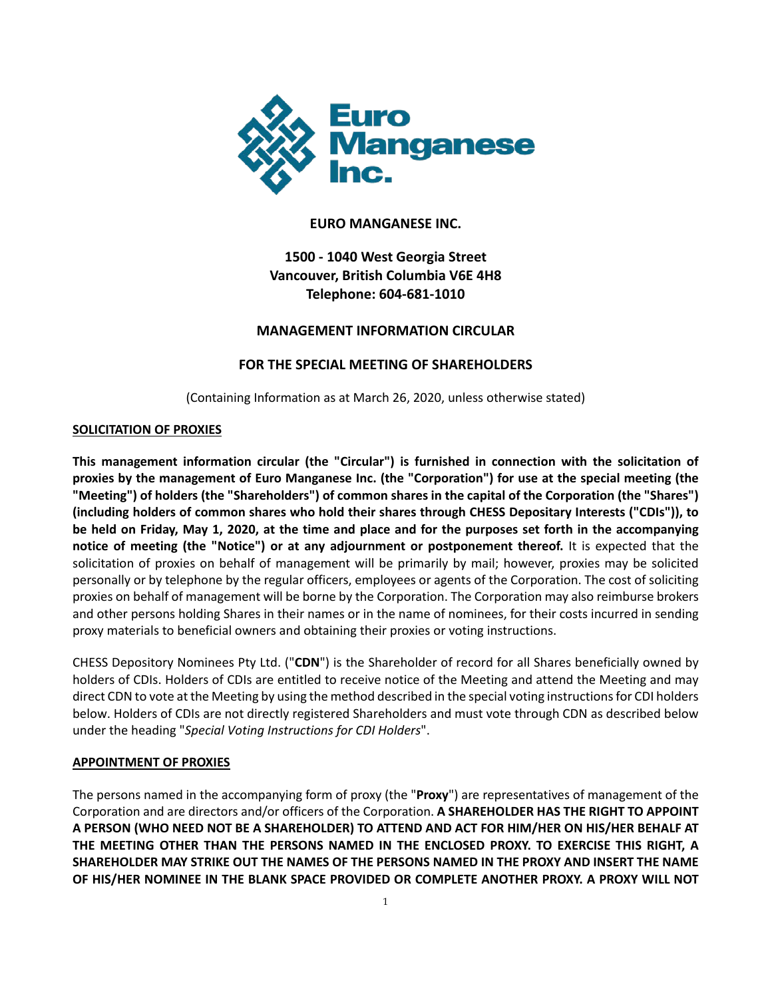

# **EURO MANGANESE INC.**

# **1500 - 1040 West Georgia Street Vancouver, British Columbia V6E 4H8 Telephone: 604-681-1010**

# **MANAGEMENT INFORMATION CIRCULAR**

# **FOR THE SPECIAL MEETING OF SHAREHOLDERS**

(Containing Information as at March 26, 2020, unless otherwise stated)

# **SOLICITATION OF PROXIES**

**This management information circular (the "Circular") is furnished in connection with the solicitation of proxies by the management of Euro Manganese Inc. (the "Corporation") for use at the special meeting (the "Meeting") of holders (the "Shareholders") of common shares in the capital of the Corporation (the "Shares") (including holders of common shares who hold their shares through CHESS Depositary Interests ("CDIs")), to be held on Friday, May 1, 2020, at the time and place and for the purposes set forth in the accompanying notice of meeting (the "Notice") or at any adjournment or postponement thereof.** It is expected that the solicitation of proxies on behalf of management will be primarily by mail; however, proxies may be solicited personally or by telephone by the regular officers, employees or agents of the Corporation. The cost of soliciting proxies on behalf of management will be borne by the Corporation. The Corporation may also reimburse brokers and other persons holding Shares in their names or in the name of nominees, for their costs incurred in sending proxy materials to beneficial owners and obtaining their proxies or voting instructions.

CHESS Depository Nominees Pty Ltd. ("**CDN**") is the Shareholder of record for all Shares beneficially owned by holders of CDIs. Holders of CDIs are entitled to receive notice of the Meeting and attend the Meeting and may direct CDN to vote at the Meeting by using the method described in the special voting instructions for CDI holders below. Holders of CDIs are not directly registered Shareholders and must vote through CDN as described below under the heading "*Special Voting Instructions for CDI Holders*".

# **APPOINTMENT OF PROXIES**

The persons named in the accompanying form of proxy (the "**Proxy**") are representatives of management of the Corporation and are directors and/or officers of the Corporation. **A SHAREHOLDER HAS THE RIGHT TO APPOINT A PERSON (WHO NEED NOT BE A SHAREHOLDER) TO ATTEND AND ACT FOR HIM/HER ON HIS/HER BEHALF AT THE MEETING OTHER THAN THE PERSONS NAMED IN THE ENCLOSED PROXY. TO EXERCISE THIS RIGHT, A SHAREHOLDER MAY STRIKE OUT THE NAMES OF THE PERSONS NAMED IN THE PROXY AND INSERT THE NAME OF HIS/HER NOMINEE IN THE BLANK SPACE PROVIDED OR COMPLETE ANOTHER PROXY. A PROXY WILL NOT**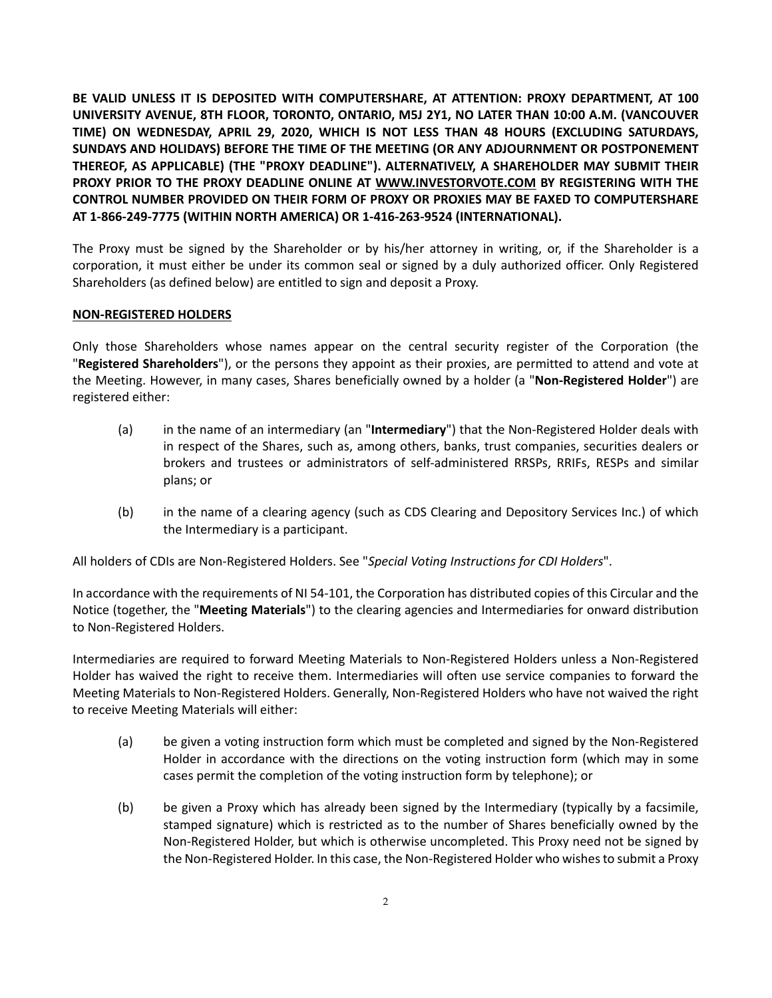**BE VALID UNLESS IT IS DEPOSITED WITH COMPUTERSHARE, AT ATTENTION: PROXY DEPARTMENT, AT 100 UNIVERSITY AVENUE, 8TH FLOOR, TORONTO, ONTARIO, M5J 2Y1, NO LATER THAN 10:00 A.M. (VANCOUVER TIME) ON WEDNESDAY, APRIL 29, 2020, WHICH IS NOT LESS THAN 48 HOURS (EXCLUDING SATURDAYS, SUNDAYS AND HOLIDAYS) BEFORE THE TIME OF THE MEETING (OR ANY ADJOURNMENT OR POSTPONEMENT THEREOF, AS APPLICABLE) (THE "PROXY DEADLINE"). ALTERNATIVELY, A SHAREHOLDER MAY SUBMIT THEIR PROXY PRIOR TO THE PROXY DEADLINE ONLINE AT WWW.INVESTORVOTE.COM BY REGISTERING WITH THE CONTROL NUMBER PROVIDED ON THEIR FORM OF PROXY OR PROXIES MAY BE FAXED TO COMPUTERSHARE AT 1-866-249-7775 (WITHIN NORTH AMERICA) OR 1-416-263-9524 (INTERNATIONAL).**

The Proxy must be signed by the Shareholder or by his/her attorney in writing, or, if the Shareholder is a corporation, it must either be under its common seal or signed by a duly authorized officer. Only Registered Shareholders (as defined below) are entitled to sign and deposit a Proxy.

# **NON-REGISTERED HOLDERS**

Only those Shareholders whose names appear on the central security register of the Corporation (the "**Registered Shareholders**"), or the persons they appoint as their proxies, are permitted to attend and vote at the Meeting. However, in many cases, Shares beneficially owned by a holder (a "**Non-Registered Holder**") are registered either:

- (a) in the name of an intermediary (an "**Intermediary**") that the Non-Registered Holder deals with in respect of the Shares, such as, among others, banks, trust companies, securities dealers or brokers and trustees or administrators of self-administered RRSPs, RRIFs, RESPs and similar plans; or
- (b) in the name of a clearing agency (such as CDS Clearing and Depository Services Inc.) of which the Intermediary is a participant.

All holders of CDIs are Non-Registered Holders. See "*Special Voting Instructions for CDI Holders*".

In accordance with the requirements of NI 54-101, the Corporation has distributed copies of this Circular and the Notice (together, the "**Meeting Materials**") to the clearing agencies and Intermediaries for onward distribution to Non-Registered Holders.

Intermediaries are required to forward Meeting Materials to Non-Registered Holders unless a Non-Registered Holder has waived the right to receive them. Intermediaries will often use service companies to forward the Meeting Materials to Non-Registered Holders. Generally, Non-Registered Holders who have not waived the right to receive Meeting Materials will either:

- (a) be given a voting instruction form which must be completed and signed by the Non-Registered Holder in accordance with the directions on the voting instruction form (which may in some cases permit the completion of the voting instruction form by telephone); or
- (b) be given a Proxy which has already been signed by the Intermediary (typically by a facsimile, stamped signature) which is restricted as to the number of Shares beneficially owned by the Non-Registered Holder, but which is otherwise uncompleted. This Proxy need not be signed by the Non-Registered Holder. In this case, the Non-Registered Holder who wishes to submit a Proxy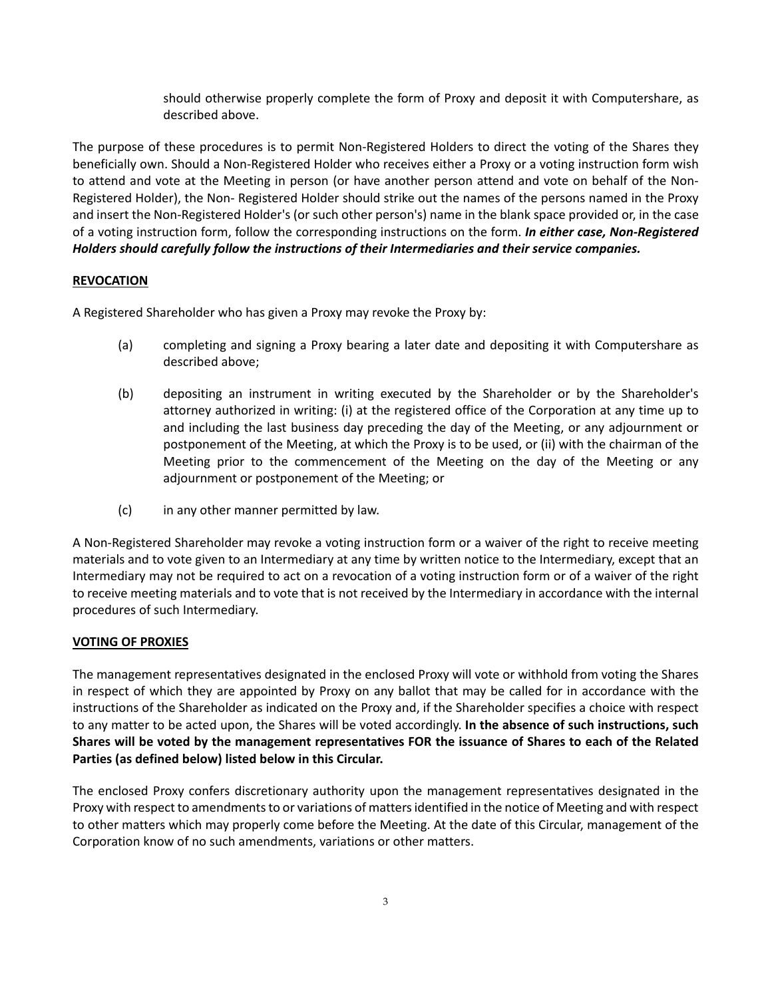should otherwise properly complete the form of Proxy and deposit it with Computershare, as described above.

The purpose of these procedures is to permit Non-Registered Holders to direct the voting of the Shares they beneficially own. Should a Non-Registered Holder who receives either a Proxy or a voting instruction form wish to attend and vote at the Meeting in person (or have another person attend and vote on behalf of the Non-Registered Holder), the Non- Registered Holder should strike out the names of the persons named in the Proxy and insert the Non-Registered Holder's (or such other person's) name in the blank space provided or, in the case of a voting instruction form, follow the corresponding instructions on the form. *In either case, Non-Registered Holders should carefully follow the instructions of their Intermediaries and their service companies.*

# **REVOCATION**

A Registered Shareholder who has given a Proxy may revoke the Proxy by:

- (a) completing and signing a Proxy bearing a later date and depositing it with Computershare as described above;
- (b) depositing an instrument in writing executed by the Shareholder or by the Shareholder's attorney authorized in writing: (i) at the registered office of the Corporation at any time up to and including the last business day preceding the day of the Meeting, or any adjournment or postponement of the Meeting, at which the Proxy is to be used, or (ii) with the chairman of the Meeting prior to the commencement of the Meeting on the day of the Meeting or any adjournment or postponement of the Meeting; or
- (c) in any other manner permitted by law.

A Non-Registered Shareholder may revoke a voting instruction form or a waiver of the right to receive meeting materials and to vote given to an Intermediary at any time by written notice to the Intermediary, except that an Intermediary may not be required to act on a revocation of a voting instruction form or of a waiver of the right to receive meeting materials and to vote that is not received by the Intermediary in accordance with the internal procedures of such Intermediary.

# **VOTING OF PROXIES**

The management representatives designated in the enclosed Proxy will vote or withhold from voting the Shares in respect of which they are appointed by Proxy on any ballot that may be called for in accordance with the instructions of the Shareholder as indicated on the Proxy and, if the Shareholder specifies a choice with respect to any matter to be acted upon, the Shares will be voted accordingly. **In the absence of such instructions, such Shares will be voted by the management representatives FOR the issuance of Shares to each of the Related Parties (as defined below) listed below in this Circular.**

The enclosed Proxy confers discretionary authority upon the management representatives designated in the Proxy with respect to amendments to or variations of matters identified in the notice of Meeting and with respect to other matters which may properly come before the Meeting. At the date of this Circular, management of the Corporation know of no such amendments, variations or other matters.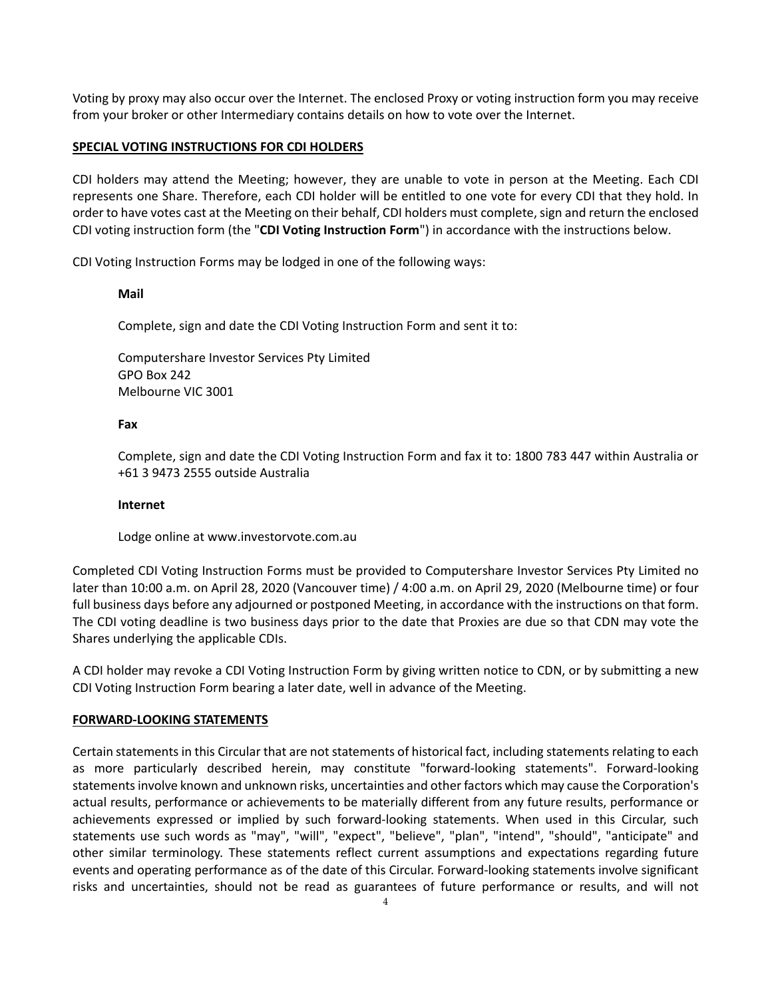Voting by proxy may also occur over the Internet. The enclosed Proxy or voting instruction form you may receive from your broker or other Intermediary contains details on how to vote over the Internet.

#### **SPECIAL VOTING INSTRUCTIONS FOR CDI HOLDERS**

CDI holders may attend the Meeting; however, they are unable to vote in person at the Meeting. Each CDI represents one Share. Therefore, each CDI holder will be entitled to one vote for every CDI that they hold. In order to have votes cast at the Meeting on their behalf, CDI holders must complete, sign and return the enclosed CDI voting instruction form (the "**CDI Voting Instruction Form**") in accordance with the instructions below.

CDI Voting Instruction Forms may be lodged in one of the following ways:

### **Mail**

Complete, sign and date the CDI Voting Instruction Form and sent it to:

Computershare Investor Services Pty Limited GPO Box 242 Melbourne VIC 3001

### **Fax**

Complete, sign and date the CDI Voting Instruction Form and fax it to: 1800 783 447 within Australia or +61 3 9473 2555 outside Australia

#### **Internet**

Lodge online at www.investorvote.com.au

Completed CDI Voting Instruction Forms must be provided to Computershare Investor Services Pty Limited no later than 10:00 a.m. on April 28, 2020 (Vancouver time) / 4:00 a.m. on April 29, 2020 (Melbourne time) or four full business days before any adjourned or postponed Meeting, in accordance with the instructions on that form. The CDI voting deadline is two business days prior to the date that Proxies are due so that CDN may vote the Shares underlying the applicable CDIs.

A CDI holder may revoke a CDI Voting Instruction Form by giving written notice to CDN, or by submitting a new CDI Voting Instruction Form bearing a later date, well in advance of the Meeting.

#### **FORWARD-LOOKING STATEMENTS**

Certain statements in this Circular that are not statements of historical fact, including statements relating to each as more particularly described herein, may constitute "forward-looking statements". Forward-looking statements involve known and unknown risks, uncertainties and other factors which may cause the Corporation's actual results, performance or achievements to be materially different from any future results, performance or achievements expressed or implied by such forward-looking statements. When used in this Circular, such statements use such words as "may", "will", "expect", "believe", "plan", "intend", "should", "anticipate" and other similar terminology. These statements reflect current assumptions and expectations regarding future events and operating performance as of the date of this Circular. Forward-looking statements involve significant risks and uncertainties, should not be read as guarantees of future performance or results, and will not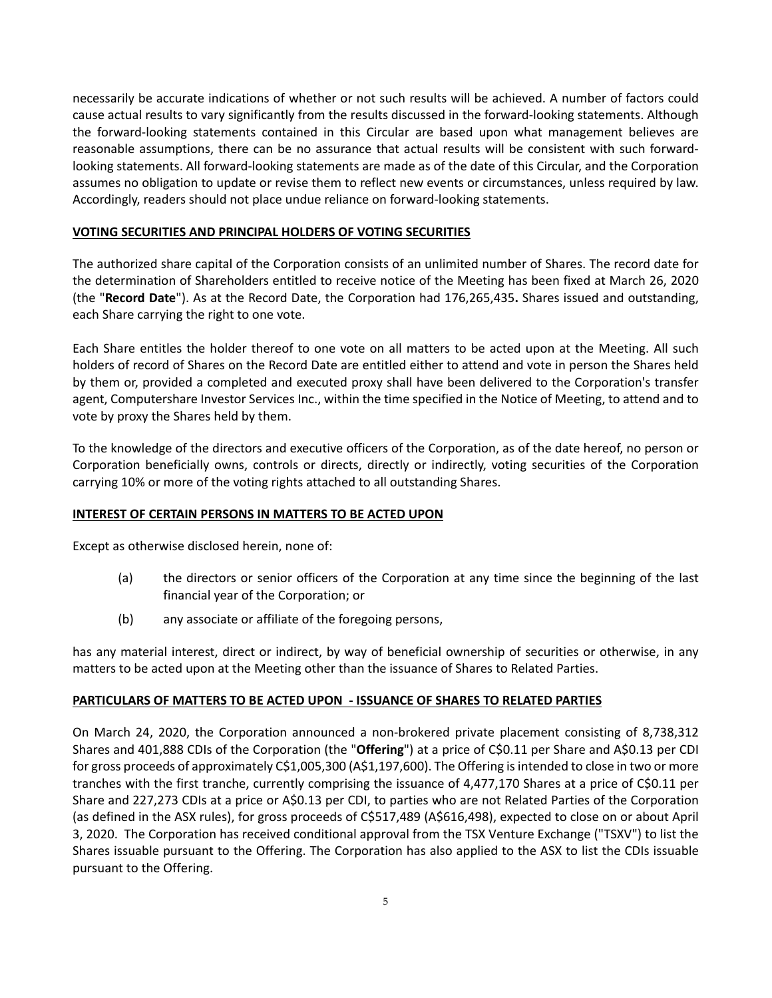necessarily be accurate indications of whether or not such results will be achieved. A number of factors could cause actual results to vary significantly from the results discussed in the forward-looking statements. Although the forward-looking statements contained in this Circular are based upon what management believes are reasonable assumptions, there can be no assurance that actual results will be consistent with such forwardlooking statements. All forward-looking statements are made as of the date of this Circular, and the Corporation assumes no obligation to update or revise them to reflect new events or circumstances, unless required by law. Accordingly, readers should not place undue reliance on forward-looking statements.

### **VOTING SECURITIES AND PRINCIPAL HOLDERS OF VOTING SECURITIES**

The authorized share capital of the Corporation consists of an unlimited number of Shares. The record date for the determination of Shareholders entitled to receive notice of the Meeting has been fixed at March 26, 2020 (the "**Record Date**"). As at the Record Date, the Corporation had 176,265,435**.** Shares issued and outstanding, each Share carrying the right to one vote.

Each Share entitles the holder thereof to one vote on all matters to be acted upon at the Meeting. All such holders of record of Shares on the Record Date are entitled either to attend and vote in person the Shares held by them or, provided a completed and executed proxy shall have been delivered to the Corporation's transfer agent, Computershare Investor Services Inc., within the time specified in the Notice of Meeting, to attend and to vote by proxy the Shares held by them.

To the knowledge of the directors and executive officers of the Corporation, as of the date hereof, no person or Corporation beneficially owns, controls or directs, directly or indirectly, voting securities of the Corporation carrying 10% or more of the voting rights attached to all outstanding Shares.

# **INTEREST OF CERTAIN PERSONS IN MATTERS TO BE ACTED UPON**

Except as otherwise disclosed herein, none of:

- (a) the directors or senior officers of the Corporation at any time since the beginning of the last financial year of the Corporation; or
- (b) any associate or affiliate of the foregoing persons,

has any material interest, direct or indirect, by way of beneficial ownership of securities or otherwise, in any matters to be acted upon at the Meeting other than the issuance of Shares to Related Parties.

# **PARTICULARS OF MATTERS TO BE ACTED UPON - ISSUANCE OF SHARES TO RELATED PARTIES**

On March 24, 2020, the Corporation announced a non-brokered private placement consisting of 8,738,312 Shares and 401,888 CDIs of the Corporation (the "**Offering**") at a price of C\$0.11 per Share and A\$0.13 per CDI for gross proceeds of approximately C\$1,005,300 (A\$1,197,600). The Offering isintended to close in two or more tranches with the first tranche, currently comprising the issuance of 4,477,170 Shares at a price of C\$0.11 per Share and 227,273 CDIs at a price or A\$0.13 per CDI, to parties who are not Related Parties of the Corporation (as defined in the ASX rules), for gross proceeds of C\$517,489 (A\$616,498), expected to close on or about April 3, 2020. The Corporation has received conditional approval from the TSX Venture Exchange ("TSXV") to list the Shares issuable pursuant to the Offering. The Corporation has also applied to the ASX to list the CDIs issuable pursuant to the Offering.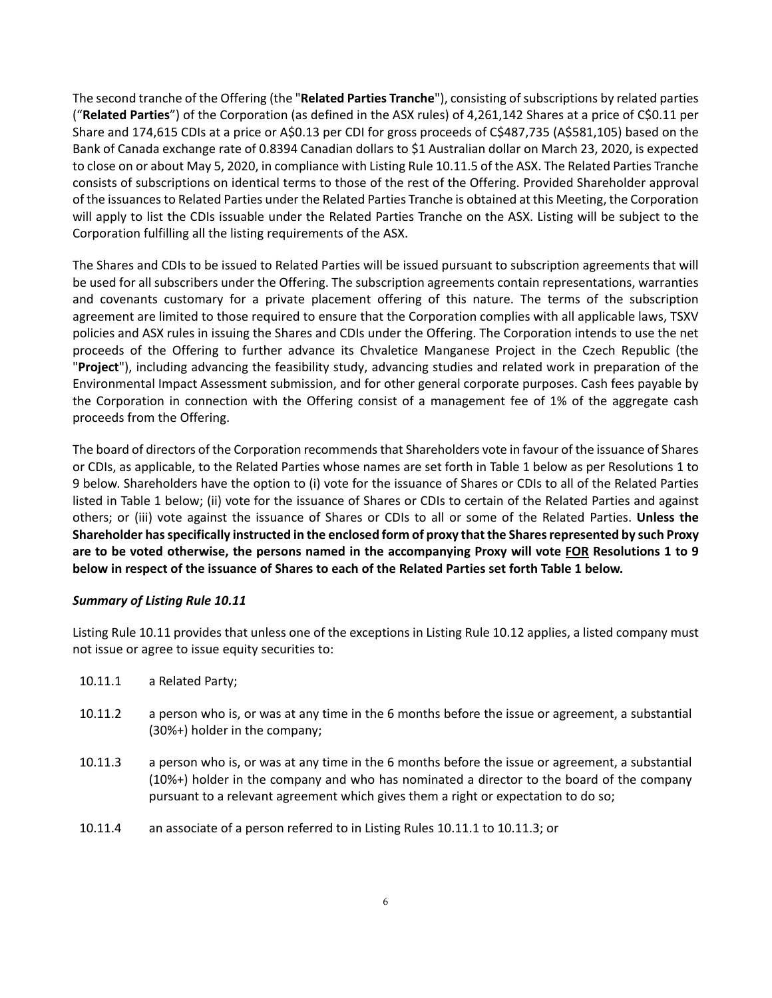The second tranche of the Offering (the "**Related Parties Tranche**"), consisting of subscriptions by related parties ("**Related Parties**") of the Corporation (as defined in the ASX rules) of 4,261,142 Shares at a price of C\$0.11 per Share and 174,615 CDIs at a price or A\$0.13 per CDI for gross proceeds of C\$487,735 (A\$581,105) based on the Bank of Canada exchange rate of 0.8394 Canadian dollars to \$1 Australian dollar on March 23, 2020, is expected to close on or about May 5, 2020, in compliance with Listing Rule 10.11.5 of the ASX. The Related Parties Tranche consists of subscriptions on identical terms to those of the rest of the Offering. Provided Shareholder approval of the issuances to Related Parties under the Related Parties Tranche is obtained at this Meeting, the Corporation will apply to list the CDIs issuable under the Related Parties Tranche on the ASX. Listing will be subject to the Corporation fulfilling all the listing requirements of the ASX.

The Shares and CDIs to be issued to Related Parties will be issued pursuant to subscription agreements that will be used for all subscribers under the Offering. The subscription agreements contain representations, warranties and covenants customary for a private placement offering of this nature. The terms of the subscription agreement are limited to those required to ensure that the Corporation complies with all applicable laws, TSXV policies and ASX rules in issuing the Shares and CDIs under the Offering. The Corporation intends to use the net proceeds of the Offering to further advance its Chvaletice Manganese Project in the Czech Republic (the "**Project**"), including advancing the feasibility study, advancing studies and related work in preparation of the Environmental Impact Assessment submission, and for other general corporate purposes. Cash fees payable by the Corporation in connection with the Offering consist of a management fee of 1% of the aggregate cash proceeds from the Offering.

The board of directors of the Corporation recommends that Shareholders vote in favour of the issuance of Shares or CDIs, as applicable, to the Related Parties whose names are set forth in Table 1 below as per Resolutions 1 to 9 below. Shareholders have the option to (i) vote for the issuance of Shares or CDIs to all of the Related Parties listed in Table 1 below; (ii) vote for the issuance of Shares or CDIs to certain of the Related Parties and against others; or (iii) vote against the issuance of Shares or CDIs to all or some of the Related Parties. **Unless the Shareholder has specifically instructed in the enclosed form of proxy that the Shares represented by such Proxy are to be voted otherwise, the persons named in the accompanying Proxy will vote FOR Resolutions 1 to 9 below in respect of the issuance of Shares to each of the Related Parties set forth Table 1 below.**

#### *Summary of Listing Rule 10.11*

Listing Rule 10.11 provides that unless one of the exceptions in Listing Rule 10.12 applies, a listed company must not issue or agree to issue equity securities to:

- 10.11.1 a Related Party;
- 10.11.2 a person who is, or was at any time in the 6 months before the issue or agreement, a substantial (30%+) holder in the company;
- 10.11.3 a person who is, or was at any time in the 6 months before the issue or agreement, a substantial (10%+) holder in the company and who has nominated a director to the board of the company pursuant to a relevant agreement which gives them a right or expectation to do so;
- 10.11.4 an associate of a person referred to in Listing Rules 10.11.1 to 10.11.3; or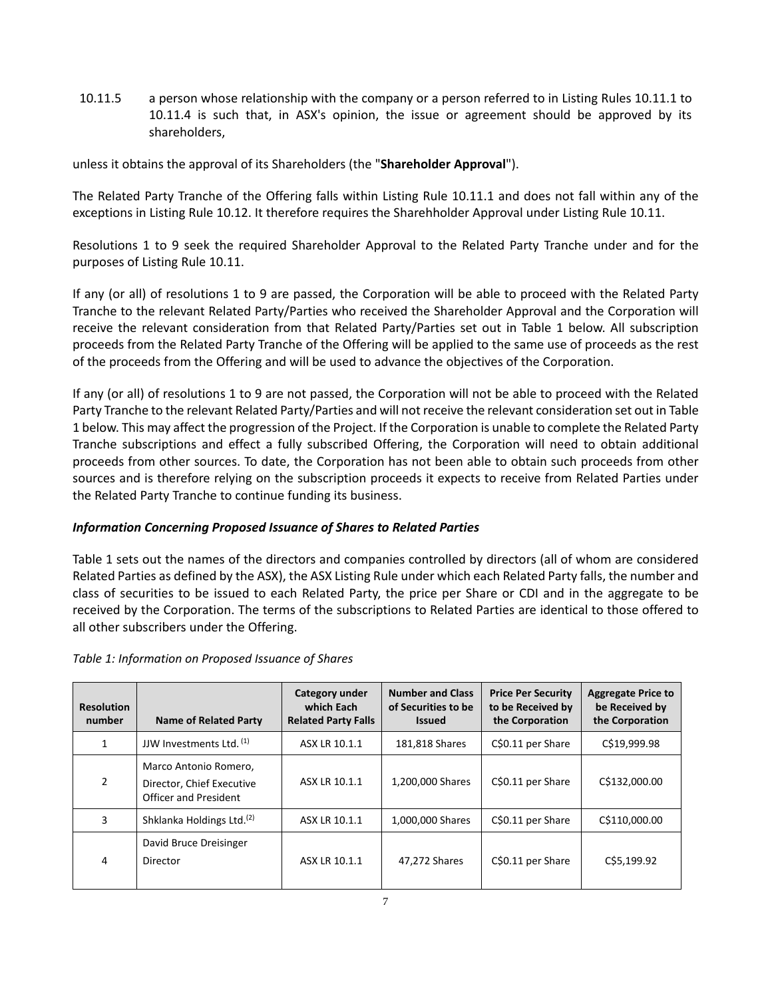10.11.5 a person whose relationship with the company or a person referred to in Listing Rules 10.11.1 to 10.11.4 is such that, in ASX's opinion, the issue or agreement should be approved by its shareholders,

unless it obtains the approval of its Shareholders (the "**Shareholder Approval**").

The Related Party Tranche of the Offering falls within Listing Rule 10.11.1 and does not fall within any of the exceptions in Listing Rule 10.12. It therefore requires the Sharehholder Approval under Listing Rule 10.11.

Resolutions 1 to 9 seek the required Shareholder Approval to the Related Party Tranche under and for the purposes of Listing Rule 10.11.

If any (or all) of resolutions 1 to 9 are passed, the Corporation will be able to proceed with the Related Party Tranche to the relevant Related Party/Parties who received the Shareholder Approval and the Corporation will receive the relevant consideration from that Related Party/Parties set out in Table 1 below. All subscription proceeds from the Related Party Tranche of the Offering will be applied to the same use of proceeds as the rest of the proceeds from the Offering and will be used to advance the objectives of the Corporation.

If any (or all) of resolutions 1 to 9 are not passed, the Corporation will not be able to proceed with the Related Party Tranche to the relevant Related Party/Parties and will not receive the relevant consideration set out in Table 1 below. This may affect the progression of the Project. If the Corporation is unable to complete the Related Party Tranche subscriptions and effect a fully subscribed Offering, the Corporation will need to obtain additional proceeds from other sources. To date, the Corporation has not been able to obtain such proceeds from other sources and is therefore relying on the subscription proceeds it expects to receive from Related Parties under the Related Party Tranche to continue funding its business.

# *Information Concerning Proposed Issuance of Shares to Related Parties*

Table 1 sets out the names of the directors and companies controlled by directors (all of whom are considered Related Parties as defined by the ASX), the ASX Listing Rule under which each Related Party falls, the number and class of securities to be issued to each Related Party, the price per Share or CDI and in the aggregate to be received by the Corporation. The terms of the subscriptions to Related Parties are identical to those offered to all other subscribers under the Offering.

# *Table 1: Information on Proposed Issuance of Shares*

| <b>Resolution</b><br>number | <b>Name of Related Party</b>                                                | Category under<br>which Each<br><b>Related Party Falls</b> | <b>Number and Class</b><br>of Securities to be<br><b>Issued</b> | <b>Price Per Security</b><br>to be Received by<br>the Corporation | <b>Aggregate Price to</b><br>be Received by<br>the Corporation |
|-----------------------------|-----------------------------------------------------------------------------|------------------------------------------------------------|-----------------------------------------------------------------|-------------------------------------------------------------------|----------------------------------------------------------------|
| $\mathbf{1}$                | JJW Investments Ltd. <sup>(1)</sup>                                         | ASX LR 10.1.1                                              | 181,818 Shares                                                  | C\$0.11 per Share                                                 | C\$19,999.98                                                   |
| $\mathcal{P}$               | Marco Antonio Romero,<br>Director, Chief Executive<br>Officer and President | ASX LR 10.1.1                                              | 1,200,000 Shares                                                | C\$0.11 per Share                                                 | C\$132,000.00                                                  |
| 3                           | Shklanka Holdings Ltd. <sup>(2)</sup>                                       | ASX LR 10.1.1                                              | 1,000,000 Shares                                                | C\$0.11 per Share                                                 | C\$110,000.00                                                  |
| 4                           | David Bruce Dreisinger<br>Director                                          | ASX LR 10.1.1                                              | 47,272 Shares                                                   | C\$0.11 per Share                                                 | C\$5,199.92                                                    |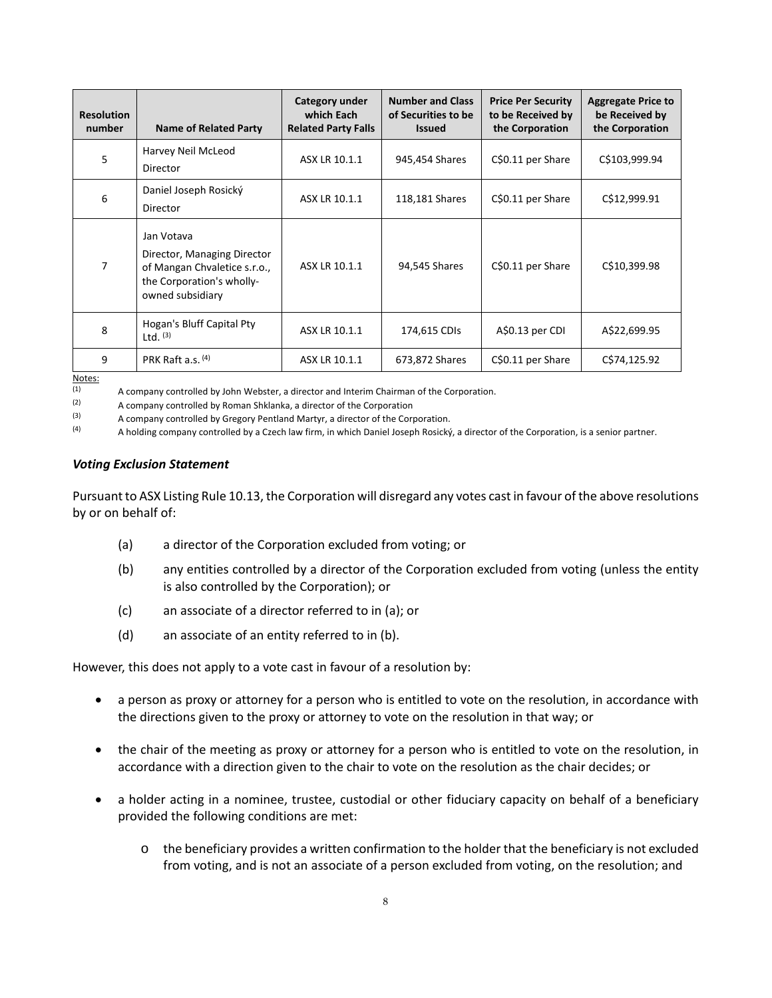| <b>Resolution</b><br>number | <b>Name of Related Party</b>                                                                                               | Category under<br>which Each<br><b>Related Party Falls</b> | <b>Number and Class</b><br>of Securities to be<br><b>Issued</b> | <b>Price Per Security</b><br>to be Received by<br>the Corporation | <b>Aggregate Price to</b><br>be Received by<br>the Corporation |
|-----------------------------|----------------------------------------------------------------------------------------------------------------------------|------------------------------------------------------------|-----------------------------------------------------------------|-------------------------------------------------------------------|----------------------------------------------------------------|
| 5                           | Harvey Neil McLeod<br>Director                                                                                             | ASX LR 10.1.1                                              | 945,454 Shares                                                  | C\$0.11 per Share                                                 | C\$103,999.94                                                  |
| 6                           | Daniel Joseph Rosický<br>Director                                                                                          | ASX LR 10.1.1                                              | 118,181 Shares                                                  | C\$0.11 per Share                                                 | C\$12,999.91                                                   |
| 7                           | Jan Votava<br>Director, Managing Director<br>of Mangan Chvaletice s.r.o.,<br>the Corporation's wholly-<br>owned subsidiary | ASX LR 10.1.1                                              | 94,545 Shares                                                   | C\$0.11 per Share                                                 | C\$10,399.98                                                   |
| 8                           | Hogan's Bluff Capital Pty<br>Ltd. $(3)$                                                                                    | ASX LR 10.1.1                                              | 174,615 CDIs                                                    | A\$0.13 per CDI                                                   | A\$22,699.95                                                   |
| 9<br>$N = 1$                | PRK Raft a.s. $(4)$                                                                                                        | ASX LR 10.1.1                                              | 673,872 Shares                                                  | C\$0.11 per Share                                                 | C\$74,125.92                                                   |

 $Notes:  
\n $(1)$$ </u>

(1) A company controlled by John Webster, a director and Interim Chairman of the Corporation.<br>(2)  $\Lambda$  company controlled by Boman Shklanka, a director of the Corporation.

(2)  $\alpha$  company controlled by Roman Shklanka, a director of the Corporation (3)  $\alpha$  company controlled by Gregory Pentland Martyr a director of the Corporation

(3) A company controlled by Gregory Pentland Martyr, a director of the Corporation.<br>(4) A holding company controlled by a Czech law firm in which Daniel Joseph Bosický

(4) A holding company controlled by a Czech law firm, in which Daniel Joseph Rosický, a director of the Corporation, is a senior partner.

#### *Voting Exclusion Statement*

Pursuant to ASX Listing Rule 10.13, the Corporation will disregard any votes cast in favour of the above resolutions by or on behalf of:

- (a) a director of the Corporation excluded from voting; or
- (b) any entities controlled by a director of the Corporation excluded from voting (unless the entity is also controlled by the Corporation); or
- (c) an associate of a director referred to in (a); or
- (d) an associate of an entity referred to in (b).

However, this does not apply to a vote cast in favour of a resolution by:

- a person as proxy or attorney for a person who is entitled to vote on the resolution, in accordance with the directions given to the proxy or attorney to vote on the resolution in that way; or
- the chair of the meeting as proxy or attorney for a person who is entitled to vote on the resolution, in accordance with a direction given to the chair to vote on the resolution as the chair decides; or
- a holder acting in a nominee, trustee, custodial or other fiduciary capacity on behalf of a beneficiary provided the following conditions are met:
	- o the beneficiary provides a written confirmation to the holder that the beneficiary is not excluded from voting, and is not an associate of a person excluded from voting, on the resolution; and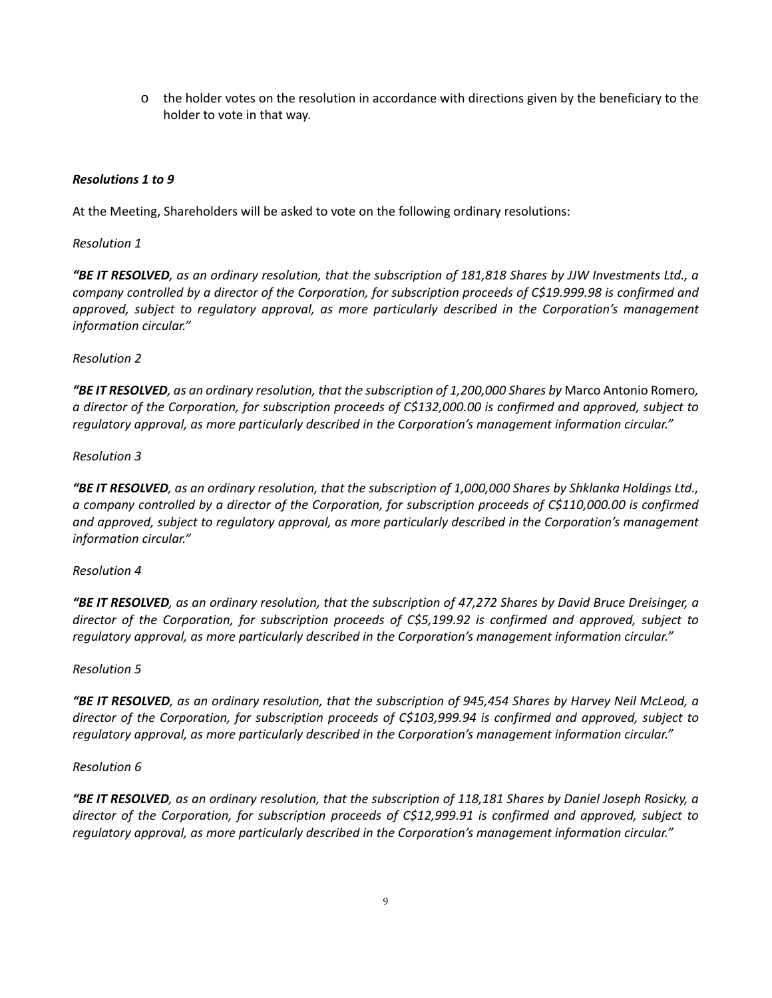o the holder votes on the resolution in accordance with directions given by the beneficiary to the holder to vote in that way.

### *Resolutions 1 to 9*

At the Meeting, Shareholders will be asked to vote on the following ordinary resolutions:

#### *Resolution 1*

*"BE IT RESOLVED, as an ordinary resolution, that the subscription of 181,818 Shares by JJW Investments Ltd., a company controlled by a director of the Corporation, for subscription proceeds of C\$19.999.98 is confirmed and approved, subject to regulatory approval, as more particularly described in the Corporation's management information circular."*

### *Resolution 2*

*"BE IT RESOLVED, as an ordinary resolution, that the subscription of 1,200,000 Shares by* Marco Antonio Romero*, a director of the Corporation, for subscription proceeds of C\$132,000.00 is confirmed and approved, subject to regulatory approval, as more particularly described in the Corporation's management information circular."*

### *Resolution 3*

*"BE IT RESOLVED, as an ordinary resolution, that the subscription of 1,000,000 Shares by Shklanka Holdings Ltd., a company controlled by a director of the Corporation, for subscription proceeds of C\$110,000.00 is confirmed and approved, subject to regulatory approval, as more particularly described in the Corporation's management information circular."*

#### *Resolution 4*

*"BE IT RESOLVED, as an ordinary resolution, that the subscription of 47,272 Shares by David Bruce Dreisinger, a director of the Corporation, for subscription proceeds of C\$5,199.92 is confirmed and approved, subject to regulatory approval, as more particularly described in the Corporation's management information circular."*

#### *Resolution 5*

*"BE IT RESOLVED, as an ordinary resolution, that the subscription of 945,454 Shares by Harvey Neil McLeod, a director of the Corporation, for subscription proceeds of C\$103,999.94 is confirmed and approved, subject to regulatory approval, as more particularly described in the Corporation's management information circular."*

#### *Resolution 6*

*"BE IT RESOLVED, as an ordinary resolution, that the subscription of 118,181 Shares by Daniel Joseph Rosicky, a director of the Corporation, for subscription proceeds of C\$12,999.91 is confirmed and approved, subject to regulatory approval, as more particularly described in the Corporation's management information circular."*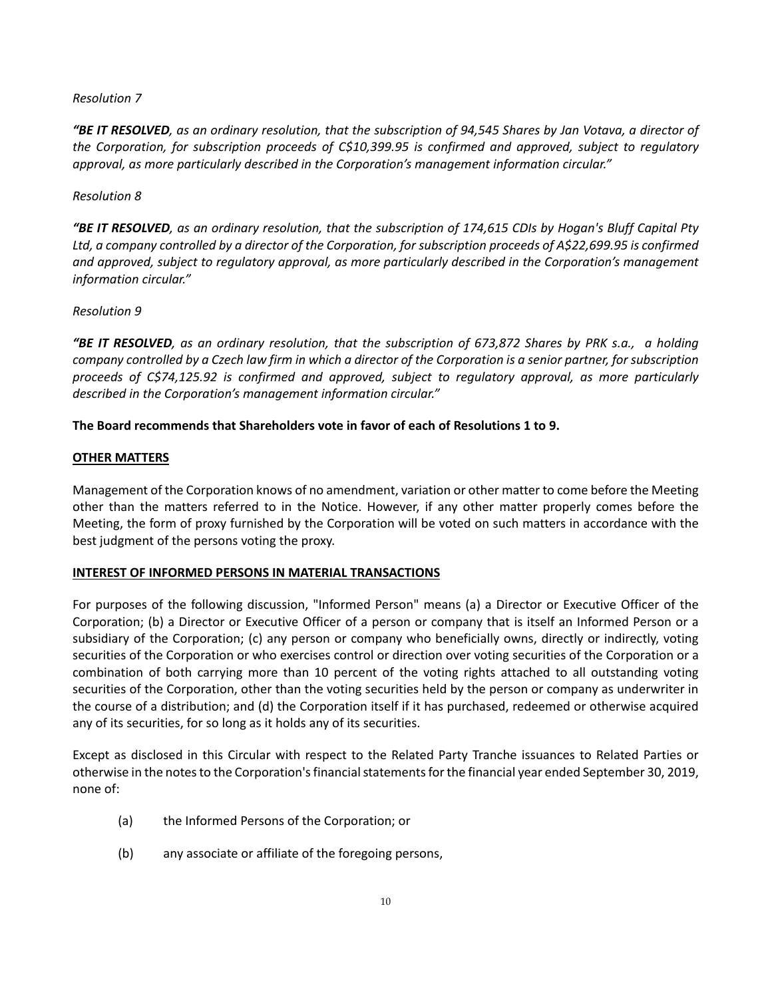#### *Resolution 7*

*"BE IT RESOLVED, as an ordinary resolution, that the subscription of 94,545 Shares by Jan Votava, a director of the Corporation, for subscription proceeds of C\$10,399.95 is confirmed and approved, subject to regulatory approval, as more particularly described in the Corporation's management information circular."*

### *Resolution 8*

*"BE IT RESOLVED, as an ordinary resolution, that the subscription of 174,615 CDIs by Hogan's Bluff Capital Pty Ltd, a company controlled by a director of the Corporation, for subscription proceeds of A\$22,699.95 is confirmed and approved, subject to regulatory approval, as more particularly described in the Corporation's management information circular."*

### *Resolution 9*

*"BE IT RESOLVED, as an ordinary resolution, that the subscription of 673,872 Shares by PRK s.a., a holding company controlled by a Czech law firm in which a director of the Corporation is a senior partner, for subscription proceeds of C\$74,125.92 is confirmed and approved, subject to regulatory approval, as more particularly described in the Corporation's management information circular."*

### **The Board recommends that Shareholders vote in favor of each of Resolutions 1 to 9.**

### **OTHER MATTERS**

Management of the Corporation knows of no amendment, variation or other matter to come before the Meeting other than the matters referred to in the Notice. However, if any other matter properly comes before the Meeting, the form of proxy furnished by the Corporation will be voted on such matters in accordance with the best judgment of the persons voting the proxy.

#### **INTEREST OF INFORMED PERSONS IN MATERIAL TRANSACTIONS**

For purposes of the following discussion, "Informed Person" means (a) a Director or Executive Officer of the Corporation; (b) a Director or Executive Officer of a person or company that is itself an Informed Person or a subsidiary of the Corporation; (c) any person or company who beneficially owns, directly or indirectly, voting securities of the Corporation or who exercises control or direction over voting securities of the Corporation or a combination of both carrying more than 10 percent of the voting rights attached to all outstanding voting securities of the Corporation, other than the voting securities held by the person or company as underwriter in the course of a distribution; and (d) the Corporation itself if it has purchased, redeemed or otherwise acquired any of its securities, for so long as it holds any of its securities.

Except as disclosed in this Circular with respect to the Related Party Tranche issuances to Related Parties or otherwise in the notes to the Corporation's financial statements for the financial year ended September 30, 2019, none of:

- (a) the Informed Persons of the Corporation; or
- (b) any associate or affiliate of the foregoing persons,